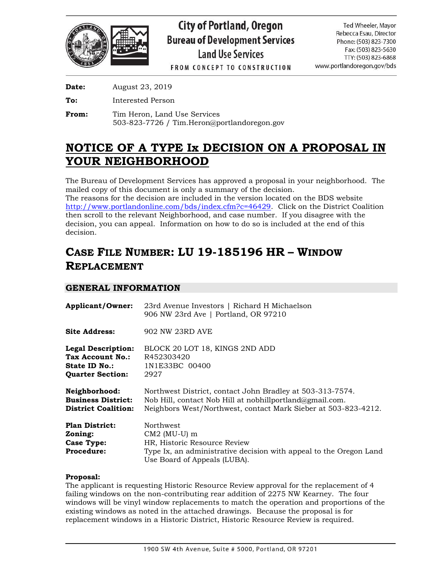

**FROM CONCEPT TO CONSTRUCTION** 

**Date:** August 23, 2019

**To:** Interested Person

From: Tim Heron, Land Use Services 503-823-7726 / Tim.Heron@portlandoregon.gov

# **NOTICE OF A TYPE Ix DECISION ON A PROPOSAL IN YOUR NEIGHBORHOOD**

The Bureau of Development Services has approved a proposal in your neighborhood. The mailed copy of this document is only a summary of the decision.

The reasons for the decision are included in the version located on the BDS website [http://www.portlandonline.com/bds/index.cfm?c=46429.](http://www.portlandonline.com/bds/index.cfm?c=46429) Click on the District Coalition then scroll to the relevant Neighborhood, and case number. If you disagree with the decision, you can appeal. Information on how to do so is included at the end of this decision.

# **CASE FILE NUMBER: LU 19-185196 HR – WINDOW REPLACEMENT**

# **GENERAL INFORMATION**

| <b>Applicant/Owner:</b>                                                                   | 23rd Avenue Investors   Richard H Michaelson<br>906 NW 23rd Ave   Portland, OR 97210                                                                                                    |  |  |
|-------------------------------------------------------------------------------------------|-----------------------------------------------------------------------------------------------------------------------------------------------------------------------------------------|--|--|
| Site Address:                                                                             | 902 NW 23RD AVE                                                                                                                                                                         |  |  |
| <b>Legal Description:</b><br>Tax Account No.:<br>State ID No.:<br><b>Quarter Section:</b> | BLOCK 20 LOT 18, KINGS 2ND ADD<br>R452303420<br>1N1E33BC 00400<br>2927                                                                                                                  |  |  |
| Neighborhood:<br><b>Business District:</b><br><b>District Coalition:</b>                  | Northwest District, contact John Bradley at 503-313-7574.<br>Nob Hill, contact Nob Hill at nobhillportland@gmail.com.<br>Neighbors West/Northwest, contact Mark Sieber at 503-823-4212. |  |  |
| <b>Plan District:</b><br>Zoning:<br>Case Type:<br><b>Procedure:</b>                       | <b>Northwest</b><br>$CM2$ (MU-U) m<br>HR, Historic Resource Review<br>Type Ix, an administrative decision with appeal to the Oregon Land<br>Use Board of Appeals (LUBA).                |  |  |

### **Proposal:**

The applicant is requesting Historic Resource Review approval for the replacement of 4 failing windows on the non-contributing rear addition of 2275 NW Kearney. The four windows will be vinyl window replacements to match the operation and proportions of the existing windows as noted in the attached drawings. Because the proposal is for replacement windows in a Historic District, Historic Resource Review is required.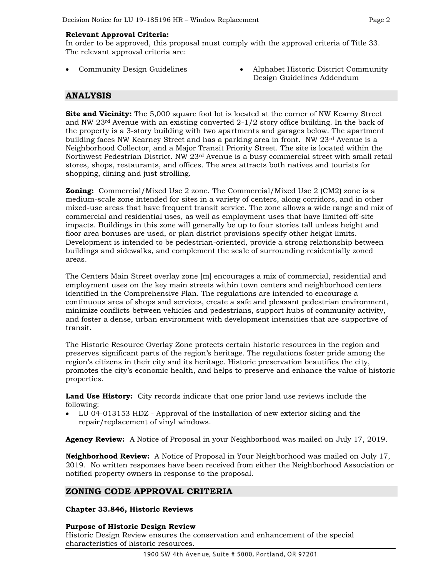#### **Relevant Approval Criteria:**

In order to be approved, this proposal must comply with the approval criteria of Title 33. The relevant approval criteria are:

- 
- Community Design Guidelines Alphabet Historic District Community Design Guidelines Addendum

## **ANALYSIS**

**Site and Vicinity:** The 5,000 square foot lot is located at the corner of NW Kearny Street and NW  $23<sup>rd</sup>$  Avenue with an existing converted  $2-1/2$  story office building. In the back of the property is a 3-story building with two apartments and garages below. The apartment building faces NW Kearney Street and has a parking area in front. NW 23<sup>rd</sup> Avenue is a Neighborhood Collector, and a Major Transit Priority Street. The site is located within the Northwest Pedestrian District. NW 23rd Avenue is a busy commercial street with small retail stores, shops, restaurants, and offices. The area attracts both natives and tourists for shopping, dining and just strolling.

**Zoning:** Commercial/Mixed Use 2 zone. The Commercial/Mixed Use 2 (CM2) zone is a medium-scale zone intended for sites in a variety of centers, along corridors, and in other mixed-use areas that have frequent transit service. The zone allows a wide range and mix of commercial and residential uses, as well as employment uses that have limited off-site impacts. Buildings in this zone will generally be up to four stories tall unless height and floor area bonuses are used, or plan district provisions specify other height limits. Development is intended to be pedestrian-oriented, provide a strong relationship between buildings and sidewalks, and complement the scale of surrounding residentially zoned areas.

The Centers Main Street overlay zone [m] encourages a mix of commercial, residential and employment uses on the key main streets within town centers and neighborhood centers identified in the Comprehensive Plan. The regulations are intended to encourage a continuous area of shops and services, create a safe and pleasant pedestrian environment, minimize conflicts between vehicles and pedestrians, support hubs of community activity, and foster a dense, urban environment with development intensities that are supportive of transit.

The Historic Resource Overlay Zone protects certain historic resources in the region and preserves significant parts of the region's heritage. The regulations foster pride among the region's citizens in their city and its heritage. Historic preservation beautifies the city, promotes the city's economic health, and helps to preserve and enhance the value of historic properties.

**Land Use History:** City records indicate that one prior land use reviews include the following:

• LU 04-013153 HDZ - Approval of the installation of new exterior siding and the repair/replacement of vinyl windows.

**Agency Review:** A Notice of Proposal in your Neighborhood was mailed on July 17, 2019.

**Neighborhood Review:** A Notice of Proposal in Your Neighborhood was mailed on July 17, 2019. No written responses have been received from either the Neighborhood Association or notified property owners in response to the proposal.

## **ZONING CODE APPROVAL CRITERIA**

#### **Chapter 33.846, Historic Reviews**

#### **Purpose of Historic Design Review**

Historic Design Review ensures the conservation and enhancement of the special characteristics of historic resources.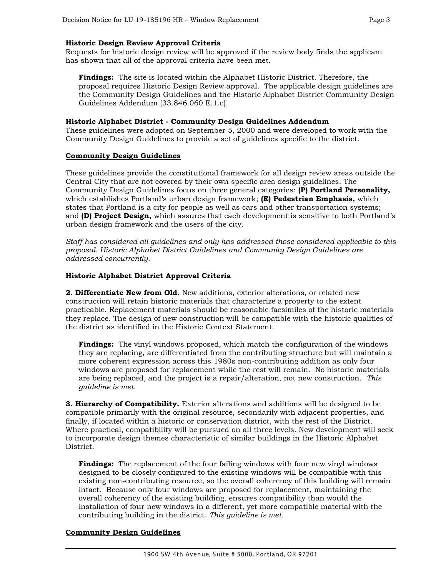#### **Historic Design Review Approval Criteria**

Requests for historic design review will be approved if the review body finds the applicant has shown that all of the approval criteria have been met.

**Findings:** The site is located within the Alphabet Historic District. Therefore, the proposal requires Historic Design Review approval. The applicable design guidelines are the Community Design Guidelines and the Historic Alphabet District Community Design Guidelines Addendum [33.846.060 E.1.c].

#### **Historic Alphabet District - Community Design Guidelines Addendum**

These guidelines were adopted on September 5, 2000 and were developed to work with the Community Design Guidelines to provide a set of guidelines specific to the district.

#### **Community Design Guidelines**

These guidelines provide the constitutional framework for all design review areas outside the Central City that are not covered by their own specific area design guidelines. The Community Design Guidelines focus on three general categories: **(P) Portland Personality,**  which establishes Portland's urban design framework; **(E) Pedestrian Emphasis,** which states that Portland is a city for people as well as cars and other transportation systems; and **(D) Project Design,** which assures that each development is sensitive to both Portland's urban design framework and the users of the city.

*Staff has considered all guidelines and only has addressed those considered applicable to this proposal. Historic Alphabet District Guidelines and Community Design Guidelines are addressed concurrently.*

#### **Historic Alphabet District Approval Criteria**

**2. Differentiate New from Old.** New additions, exterior alterations, or related new construction will retain historic materials that characterize a property to the extent practicable. Replacement materials should be reasonable facsimiles of the historic materials they replace. The design of new construction will be compatible with the historic qualities of the district as identified in the Historic Context Statement.

**Findings:** The vinyl windows proposed, which match the configuration of the windows they are replacing, are differentiated from the contributing structure but will maintain a more coherent expression across this 1980s non-contributing addition as only four windows are proposed for replacement while the rest will remain. No historic materials are being replaced, and the project is a repair/alteration, not new construction. *This guideline is met.*

**3. Hierarchy of Compatibility.** Exterior alterations and additions will be designed to be compatible primarily with the original resource, secondarily with adjacent properties, and finally, if located within a historic or conservation district, with the rest of the District. Where practical, compatibility will be pursued on all three levels. New development will seek to incorporate design themes characteristic of similar buildings in the Historic Alphabet District.

**Findings:** The replacement of the four failing windows with four new vinyl windows designed to be closely configured to the existing windows will be compatible with this existing non-contributing resource, so the overall coherency of this building will remain intact. Because only four windows are proposed for replacement, maintaining the overall coherency of the existing building, ensures compatibility than would the installation of four new windows in a different, yet more compatible material with the contributing building in the district. *This guideline is met.*

#### **Community Design Guidelines**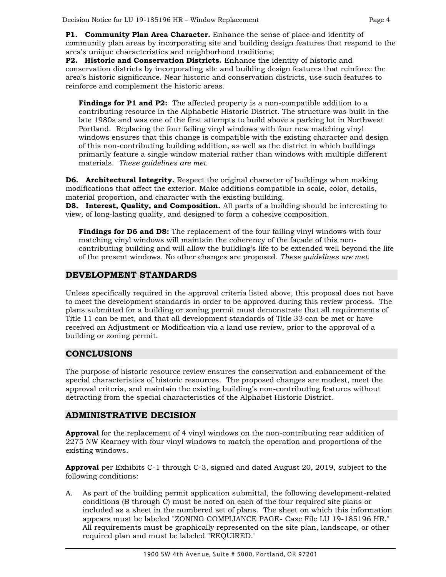**P1. Community Plan Area Character.** Enhance the sense of place and identity of community plan areas by incorporating site and building design features that respond to the area's unique characteristics and neighborhood traditions;

**P2. Historic and Conservation Districts.** Enhance the identity of historic and conservation districts by incorporating site and building design features that reinforce the area's historic significance. Near historic and conservation districts, use such features to reinforce and complement the historic areas.

**Findings for P1 and P2:** The affected property is a non-compatible addition to a contributing resource in the Alphabetic Historic District. The structure was built in the late 1980s and was one of the first attempts to build above a parking lot in Northwest Portland. Replacing the four failing vinyl windows with four new matching vinyl windows ensures that this change is compatible with the existing character and design of this non-contributing building addition, as well as the district in which buildings primarily feature a single window material rather than windows with multiple different materials. *These guidelines are met.*

**D6. Architectural Integrity.** Respect the original character of buildings when making modifications that affect the exterior. Make additions compatible in scale, color, details, material proportion, and character with the existing building.

**D8. Interest, Quality, and Composition.** All parts of a building should be interesting to view, of long-lasting quality, and designed to form a cohesive composition.

**Findings for D6 and D8:** The replacement of the four failing vinyl windows with four matching vinyl windows will maintain the coherency of the façade of this noncontributing building and will allow the building's life to be extended well beyond the life of the present windows. No other changes are proposed. *These guidelines are met.*

## **DEVELOPMENT STANDARDS**

Unless specifically required in the approval criteria listed above, this proposal does not have to meet the development standards in order to be approved during this review process. The plans submitted for a building or zoning permit must demonstrate that all requirements of Title 11 can be met, and that all development standards of Title 33 can be met or have received an Adjustment or Modification via a land use review, prior to the approval of a building or zoning permit.

## **CONCLUSIONS**

The purpose of historic resource review ensures the conservation and enhancement of the special characteristics of historic resources. The proposed changes are modest, meet the approval criteria, and maintain the existing building's non-contributing features without detracting from the special characteristics of the Alphabet Historic District.

### **ADMINISTRATIVE DECISION**

**Approval** for the replacement of 4 vinyl windows on the non-contributing rear addition of 2275 NW Kearney with four vinyl windows to match the operation and proportions of the existing windows.

**Approval** per Exhibits C-1 through C-3, signed and dated August 20, 2019, subject to the following conditions:

A. As part of the building permit application submittal, the following development-related conditions (B through C) must be noted on each of the four required site plans or included as a sheet in the numbered set of plans. The sheet on which this information appears must be labeled "ZONING COMPLIANCE PAGE- Case File LU 19-185196 HR." All requirements must be graphically represented on the site plan, landscape, or other required plan and must be labeled "REQUIRED."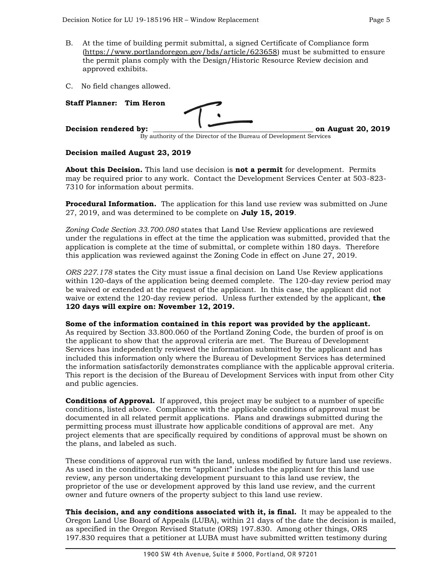- B. At the time of building permit submittal, a signed Certificate of Compliance form [\(https://www.portlandoregon.gov/bds/article/623658\)](https://www.portlandoregon.gov/bds/article/623658) must be submitted to ensure the permit plans comply with the Design/Historic Resource Review decision and approved exhibits.
- C. No field changes allowed.

| <b>Staff Planner: Tim Heron</b> |                                                                    |                    |
|---------------------------------|--------------------------------------------------------------------|--------------------|
| Decision rendered by:           |                                                                    | on August 20, 2019 |
|                                 | By authority of the Director of the Bureau of Development Services |                    |

#### **Decision mailed August 23, 2019**

and public agencies.

**About this Decision.** This land use decision is **not a permit** for development. Permits may be required prior to any work. Contact the Development Services Center at 503-823- 7310 for information about permits.

**Procedural Information.** The application for this land use review was submitted on June 27, 2019, and was determined to be complete on **July 15, 2019**.

*Zoning Code Section 33.700.080* states that Land Use Review applications are reviewed under the regulations in effect at the time the application was submitted, provided that the application is complete at the time of submittal, or complete within 180 days. Therefore this application was reviewed against the Zoning Code in effect on June 27, 2019.

*ORS 227.178* states the City must issue a final decision on Land Use Review applications within 120-days of the application being deemed complete. The 120-day review period may be waived or extended at the request of the applicant. In this case, the applicant did not waive or extend the 120-day review period. Unless further extended by the applicant, **the 120 days will expire on: November 12, 2019.**

**Some of the information contained in this report was provided by the applicant.**  As required by Section 33.800.060 of the Portland Zoning Code, the burden of proof is on the applicant to show that the approval criteria are met. The Bureau of Development Services has independently reviewed the information submitted by the applicant and has included this information only where the Bureau of Development Services has determined the information satisfactorily demonstrates compliance with the applicable approval criteria. This report is the decision of the Bureau of Development Services with input from other City

**Conditions of Approval.** If approved, this project may be subject to a number of specific conditions, listed above. Compliance with the applicable conditions of approval must be documented in all related permit applications. Plans and drawings submitted during the permitting process must illustrate how applicable conditions of approval are met. Any project elements that are specifically required by conditions of approval must be shown on the plans, and labeled as such.

These conditions of approval run with the land, unless modified by future land use reviews. As used in the conditions, the term "applicant" includes the applicant for this land use review, any person undertaking development pursuant to this land use review, the proprietor of the use or development approved by this land use review, and the current owner and future owners of the property subject to this land use review.

**This decision, and any conditions associated with it, is final.** It may be appealed to the Oregon Land Use Board of Appeals (LUBA), within 21 days of the date the decision is mailed, as specified in the Oregon Revised Statute (ORS) 197.830. Among other things, ORS 197.830 requires that a petitioner at LUBA must have submitted written testimony during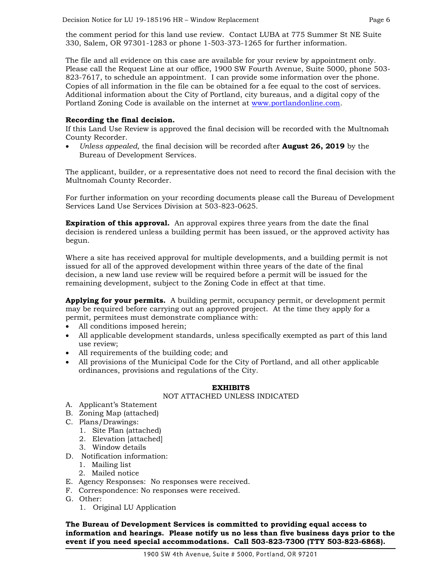the comment period for this land use review. Contact LUBA at 775 Summer St NE Suite 330, Salem, OR 97301-1283 or phone 1-503-373-1265 for further information.

The file and all evidence on this case are available for your review by appointment only. Please call the Request Line at our office, 1900 SW Fourth Avenue, Suite 5000, phone 503- 823-7617, to schedule an appointment. I can provide some information over the phone. Copies of all information in the file can be obtained for a fee equal to the cost of services. Additional information about the City of Portland, city bureaus, and a digital copy of the Portland Zoning Code is available on the internet at [www.portlandonline.com.](http://www.portlandonline.com/)

#### **Recording the final decision.**

If this Land Use Review is approved the final decision will be recorded with the Multnomah County Recorder.

• *Unless appealed,* the final decision will be recorded after **August 26, 2019** by the Bureau of Development Services.

The applicant, builder, or a representative does not need to record the final decision with the Multnomah County Recorder.

For further information on your recording documents please call the Bureau of Development Services Land Use Services Division at 503-823-0625.

**Expiration of this approval.** An approval expires three years from the date the final decision is rendered unless a building permit has been issued, or the approved activity has begun.

Where a site has received approval for multiple developments, and a building permit is not issued for all of the approved development within three years of the date of the final decision, a new land use review will be required before a permit will be issued for the remaining development, subject to the Zoning Code in effect at that time.

**Applying for your permits.** A building permit, occupancy permit, or development permit may be required before carrying out an approved project. At the time they apply for a permit, permitees must demonstrate compliance with:

- All conditions imposed herein;
- All applicable development standards, unless specifically exempted as part of this land use review;
- All requirements of the building code; and
- All provisions of the Municipal Code for the City of Portland, and all other applicable ordinances, provisions and regulations of the City.

#### **EXHIBITS**

#### NOT ATTACHED UNLESS INDICATED

- A. Applicant's Statement
- B. Zoning Map (attached)
- C. Plans/Drawings:
	- 1. Site Plan (attached)
	- 2. Elevation [attached]
	- 3. Window details
- D. Notification information:
	- 1. Mailing list
	- 2. Mailed notice
- E. Agency Responses: No responses were received.
- F. Correspondence: No responses were received.
- G. Other:
	- 1. Original LU Application

**The Bureau of Development Services is committed to providing equal access to information and hearings. Please notify us no less than five business days prior to the event if you need special accommodations. Call 503-823-7300 (TTY 503-823-6868).**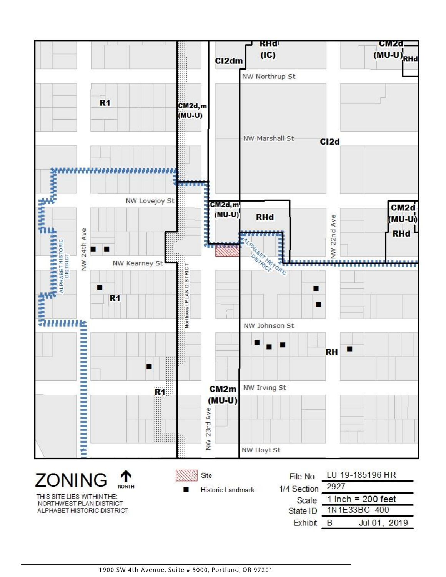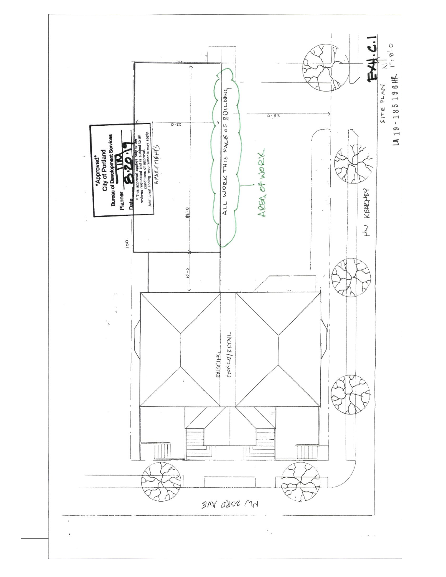